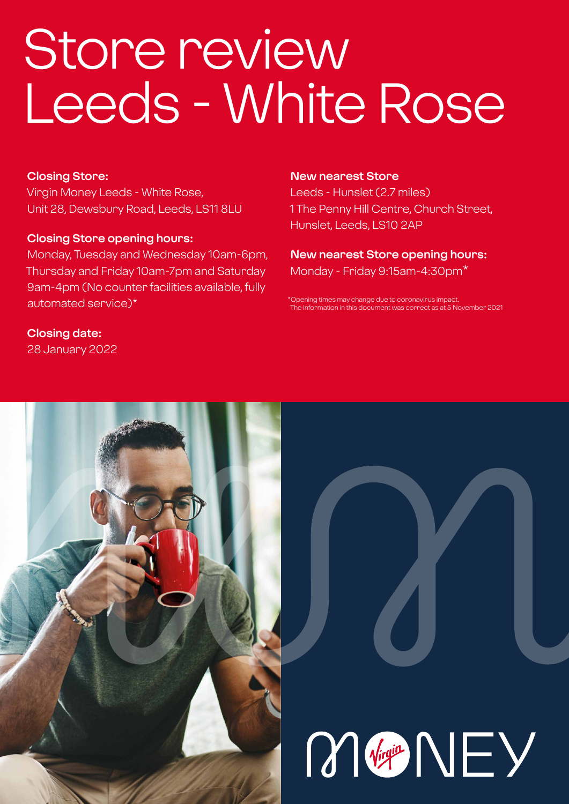# Store review Leeds - White Rose

### **Closing Store:**

Virgin Money Leeds - White Rose, Unit 28, Dewsbury Road, Leeds, LS11 8LU

### **Closing Store opening hours:**

Monday, Tuesday and Wednesday 10am-6pm, Thursday and Friday 10am-7pm and Saturday 9am-4pm (No counter facilities available, fully automated service)\*

### **New nearest Store**

Leeds - Hunslet (2.7 miles) 1 The Penny Hill Centre, Church Street, Hunslet, Leeds, LS10 2AP

### **New nearest Store opening hours:** Monday - Friday 9:15am-4:30pm\*

\*Opening times may change due to coronavirus imp The information in this document was correct as at 5 November 2021

### **Closing date:**

28 January 2022



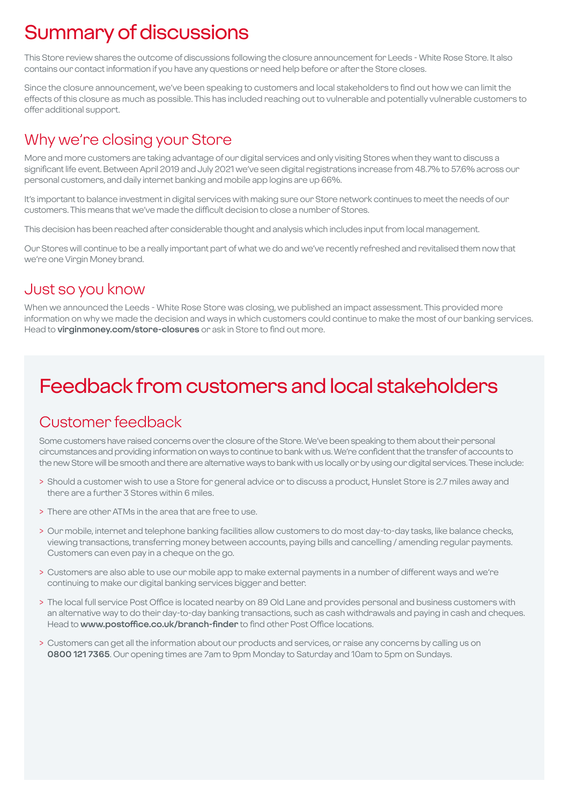# Summary of discussions

This Store review shares the outcome of discussions following the closure announcement for Leeds - White Rose Store. It also contains our contact information if you have any questions or need help before or after the Store closes.

Since the closure announcement, we've been speaking to customers and local stakeholders to find out how we can limit the effects of this closure as much as possible. This has included reaching out to vulnerable and potentially vulnerable customers to offer additional support.

### Why we're closing your Store

More and more customers are taking advantage of our digital services and only visiting Stores when they want to discuss a significant life event. Between April 2019 and July 2021 we've seen digital registrations increase from 48.7% to 57.6% across our personal customers, and daily internet banking and mobile app logins are up 66%.

It's important to balance investment in digital services with making sure our Store network continues to meet the needs of our customers. This means that we've made the difficult decision to close a number of Stores.

This decision has been reached after considerable thought and analysis which includes input from local management.

Our Stores will continue to be a really important part of what we do and we've recently refreshed and revitalised them now that we're one Virgin Money brand.

### Just so you know

When we announced the Leeds - White Rose Store was closing, we published an impact assessment. This provided more information on why we made the decision and ways in which customers could continue to make the most of our banking services. Head to **virginmoney.com/store-closures** or ask in Store to find out more.

# Feedback from customers and local stakeholders

### Customer feedback

Some customers have raised concerns over the closure of the Store. We've been speaking to them about their personal circumstances and providing information on ways to continue to bank with us. We're confident that the transfer of accounts to the new Store will be smooth and there are alternative ways to bank with us locally or by using our digital services. These include:

- > Should a customer wish to use a Store for general advice or to discuss a product, Hunslet Store is 2.7 miles away and there are a further 3 Stores within 6 miles.
- > There are other ATMs in the area that are free to use.
- > Our mobile, internet and telephone banking facilities allow customers to do most day-to-day tasks, like balance checks, viewing transactions, transferring money between accounts, paying bills and cancelling / amending regular payments. Customers can even pay in a cheque on the go.
- > Customers are also able to use our mobile app to make external payments in a number of different ways and we're continuing to make our digital banking services bigger and better.
- > The local full service Post Office is located nearby on 89 Old Lane and provides personal and business customers with an alternative way to do their day-to-day banking transactions, such as cash withdrawals and paying in cash and cheques. Head to **www.postoffice.co.uk/branch-finder** to find other Post Office locations.
- > Customers can get all the information about our products and services, or raise any concerns by calling us on **0800 121 7365**. Our opening times are 7am to 9pm Monday to Saturday and 10am to 5pm on Sundays.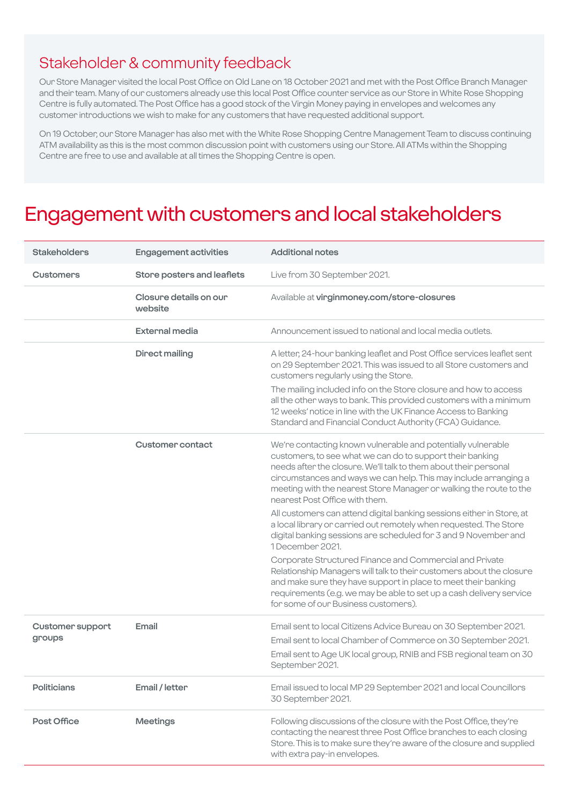### Stakeholder & community feedback

Our Store Manager visited the local Post Office on Old Lane on 18 October 2021 and met with the Post Office Branch Manager and their team. Many of our customers already use this local Post Office counter service as our Store in White Rose Shopping Centre is fully automated. The Post Office has a good stock of the Virgin Money paying in envelopes and welcomes any customer introductions we wish to make for any customers that have requested additional support.

On 19 October, our Store Manager has also met with the White Rose Shopping Centre Management Team to discuss continuing ATM availability as this is the most common discussion point with customers using our Store. All ATMs within the Shopping Centre are free to use and available at all times the Shopping Centre is open.

### Engagement with customers and local stakeholders

| <b>Stakeholders</b>               | <b>Engagement activities</b>      | <b>Additional notes</b>                                                                                                                                                                                                                                                                                                                                                                         |
|-----------------------------------|-----------------------------------|-------------------------------------------------------------------------------------------------------------------------------------------------------------------------------------------------------------------------------------------------------------------------------------------------------------------------------------------------------------------------------------------------|
| <b>Customers</b>                  | Store posters and leaflets        | Live from 30 September 2021.                                                                                                                                                                                                                                                                                                                                                                    |
|                                   | Closure details on our<br>website | Available at virginmoney.com/store-closures                                                                                                                                                                                                                                                                                                                                                     |
|                                   | <b>External media</b>             | Announcement issued to national and local media outlets.                                                                                                                                                                                                                                                                                                                                        |
|                                   | <b>Direct mailing</b>             | A letter, 24-hour banking leaflet and Post Office services leaflet sent<br>on 29 September 2021. This was issued to all Store customers and<br>customers regularly using the Store.<br>The mailing included info on the Store closure and how to access<br>all the other ways to bank. This provided customers with a minimum<br>12 weeks' notice in line with the UK Finance Access to Banking |
|                                   |                                   | Standard and Financial Conduct Authority (FCA) Guidance.                                                                                                                                                                                                                                                                                                                                        |
|                                   | <b>Customer contact</b>           | We're contacting known vulnerable and potentially vulnerable<br>customers, to see what we can do to support their banking<br>needs after the closure. We'll talk to them about their personal<br>circumstances and ways we can help. This may include arranging a<br>meeting with the nearest Store Manager or walking the route to the<br>nearest Post Office with them.                       |
|                                   |                                   | All customers can attend digital banking sessions either in Store, at<br>a local library or carried out remotely when requested. The Store<br>digital banking sessions are scheduled for 3 and 9 November and<br>1 December 2021.                                                                                                                                                               |
|                                   |                                   | Corporate Structured Finance and Commercial and Private<br>Relationship Managers will talk to their customers about the closure<br>and make sure they have support in place to meet their banking<br>requirements (e.g. we may be able to set up a cash delivery service<br>for some of our Business customers).                                                                                |
| <b>Customer support</b><br>groups | Email                             | Email sent to local Citizens Advice Bureau on 30 September 2021.<br>Email sent to local Chamber of Commerce on 30 September 2021.<br>Email sent to Age UK local group, RNIB and FSB regional team on 30<br>September 2021.                                                                                                                                                                      |
| <b>Politicians</b>                | Email / letter                    | Email issued to local MP 29 September 2021 and local Councillors<br>30 September 2021.                                                                                                                                                                                                                                                                                                          |
| Post Office                       | <b>Meetings</b>                   | Following discussions of the closure with the Post Office, they're<br>contacting the nearest three Post Office branches to each closing<br>Store. This is to make sure they're aware of the closure and supplied<br>with extra pay-in envelopes.                                                                                                                                                |